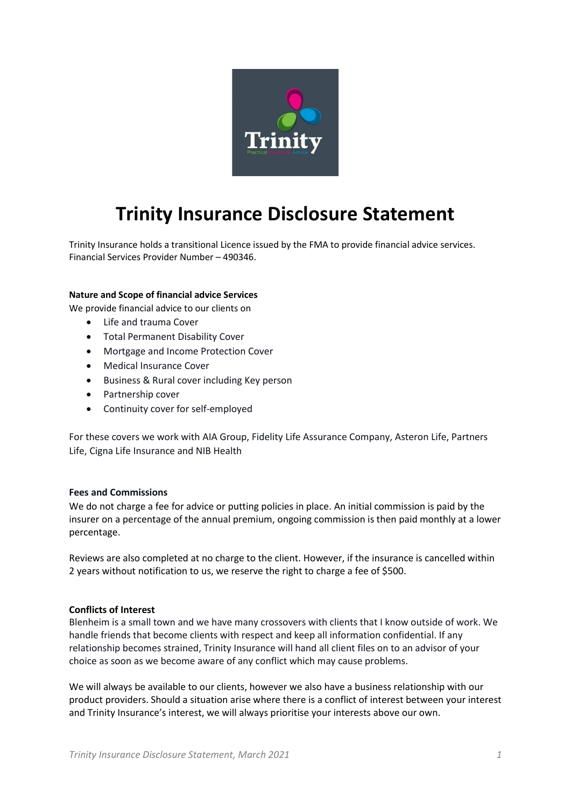

# **Trinity Insurance Disclosure Statement**

Trinity Insurance holds a transitional Licence issued by the FMA to provide financial advice services. Financial Services Provider Number – 490346.

#### **Nature and Scope of financial advice Services**

We provide financial advice to our clients on

- Life and trauma Cover
- Total Permanent Disability Cover
- Mortgage and Income Protection Cover
- Medical Insurance Cover
- Business & Rural cover including Key person
- Partnership cover
- Continuity cover for self-employed

For these covers we work with AIA Group, Fidelity Life Assurance Company, Asteron Life, Partners Life, Cigna Life Insurance and NIB Health

#### **Fees and Commissions**

We do not charge a fee for advice or putting policies in place. An initial commission is paid by the insurer on a percentage of the annual premium, ongoing commission is then paid monthly at a lower percentage.

Reviews are also completed at no charge to the client. However, if the insurance is cancelled within 2 years without notification to us, we reserve the right to charge a fee of \$500.

### **Conflicts of Interest**

Blenheim is a small town and we have many crossovers with clients that I know outside of work. We handle friends that become clients with respect and keep all information confidential. If any relationship becomes strained, Trinity Insurance will hand all client files on to an advisor of your choice as soon as we become aware of any conflict which may cause problems.

We will always be available to our clients, however we also have a business relationship with our product providers. Should a situation arise where there is a conflict of interest between your interest and Trinity Insurance's interest, we will always prioritise your interests above our own.